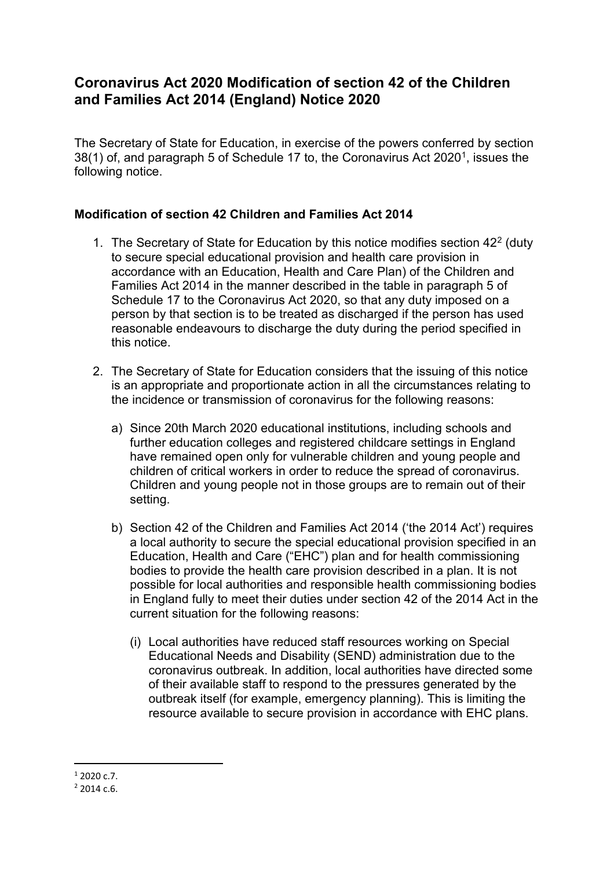## **Coronavirus Act 2020 Modification of section 42 of the Children and Families Act 2014 (England) Notice 2020**

The Secretary of State for Education, in exercise of the powers conferred by section 38(1) of, and paragraph 5 of Schedule 17 to, the Coronavirus Act 2020<sup>1</sup>, issues the following notice.

## **Modification of section 42 Children and Families Act 2014**

- 1. The Secretary of State for Education by this notice modifies section 4[2](#page-0-1)<sup>2</sup> (duty to secure special educational provision and health care provision in accordance with an Education, Health and Care Plan) of the Children and Families Act 2014 in the manner described in the table in paragraph 5 of Schedule 17 to the Coronavirus Act 2020, so that any duty imposed on a person by that section is to be treated as discharged if the person has used reasonable endeavours to discharge the duty during the period specified in this notice.
- 2. The Secretary of State for Education considers that the issuing of this notice is an appropriate and proportionate action in all the circumstances relating to the incidence or transmission of coronavirus for the following reasons:
	- a) Since 20th March 2020 educational institutions, including schools and further education colleges and registered childcare settings in England have remained open only for vulnerable children and young people and children of critical workers in order to reduce the spread of coronavirus. Children and young people not in those groups are to remain out of their setting.
	- b) Section 42 of the Children and Families Act 2014 ('the 2014 Act') requires a local authority to secure the special educational provision specified in an Education, Health and Care ("EHC") plan and for health commissioning bodies to provide the health care provision described in a plan. It is not possible for local authorities and responsible health commissioning bodies in England fully to meet their duties under section 42 of the 2014 Act in the current situation for the following reasons:
		- (i) Local authorities have reduced staff resources working on Special Educational Needs and Disability (SEND) administration due to the coronavirus outbreak. In addition, local authorities have directed some of their available staff to respond to the pressures generated by the outbreak itself (for example, emergency planning). This is limiting the resource available to secure provision in accordance with EHC plans.

<span id="page-0-0"></span> $12020c.7$ .

<span id="page-0-1"></span> $2,2014c6$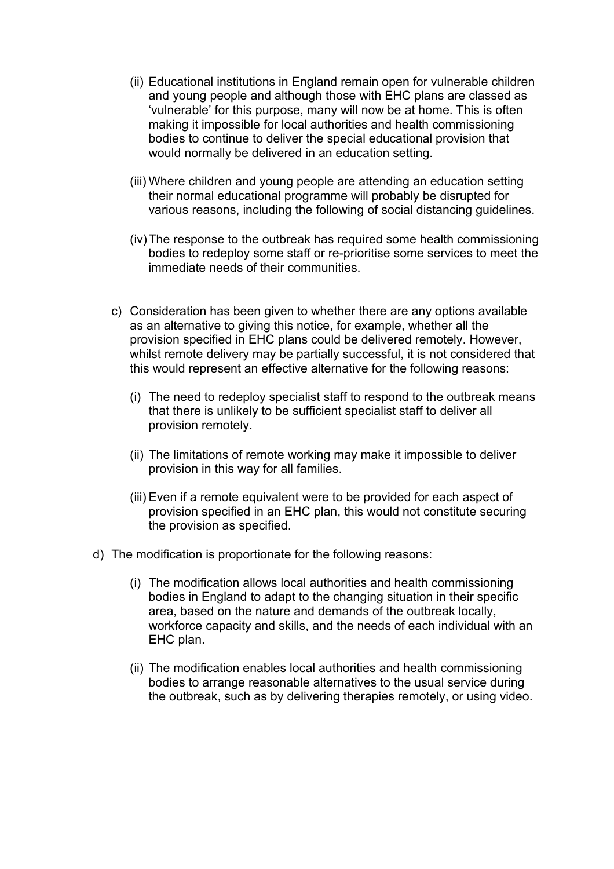- (ii) Educational institutions in England remain open for vulnerable children and young people and although those with EHC plans are classed as 'vulnerable' for this purpose, many will now be at home. This is often making it impossible for local authorities and health commissioning bodies to continue to deliver the special educational provision that would normally be delivered in an education setting.
- (iii) Where children and young people are attending an education setting their normal educational programme will probably be disrupted for various reasons, including the following of social distancing guidelines.
- (iv) The response to the outbreak has required some health commissioning bodies to redeploy some staff or re-prioritise some services to meet the immediate needs of their communities.
- c) Consideration has been given to whether there are any options available as an alternative to giving this notice, for example, whether all the provision specified in EHC plans could be delivered remotely. However, whilst remote delivery may be partially successful, it is not considered that this would represent an effective alternative for the following reasons:
	- (i) The need to redeploy specialist staff to respond to the outbreak means that there is unlikely to be sufficient specialist staff to deliver all provision remotely.
	- (ii) The limitations of remote working may make it impossible to deliver provision in this way for all families.
	- (iii) Even if a remote equivalent were to be provided for each aspect of provision specified in an EHC plan, this would not constitute securing the provision as specified.
- d) The modification is proportionate for the following reasons:
	- (i) The modification allows local authorities and health commissioning bodies in England to adapt to the changing situation in their specific area, based on the nature and demands of the outbreak locally, workforce capacity and skills, and the needs of each individual with an EHC plan.
	- (ii) The modification enables local authorities and health commissioning bodies to arrange reasonable alternatives to the usual service during the outbreak, such as by delivering therapies remotely, or using video.